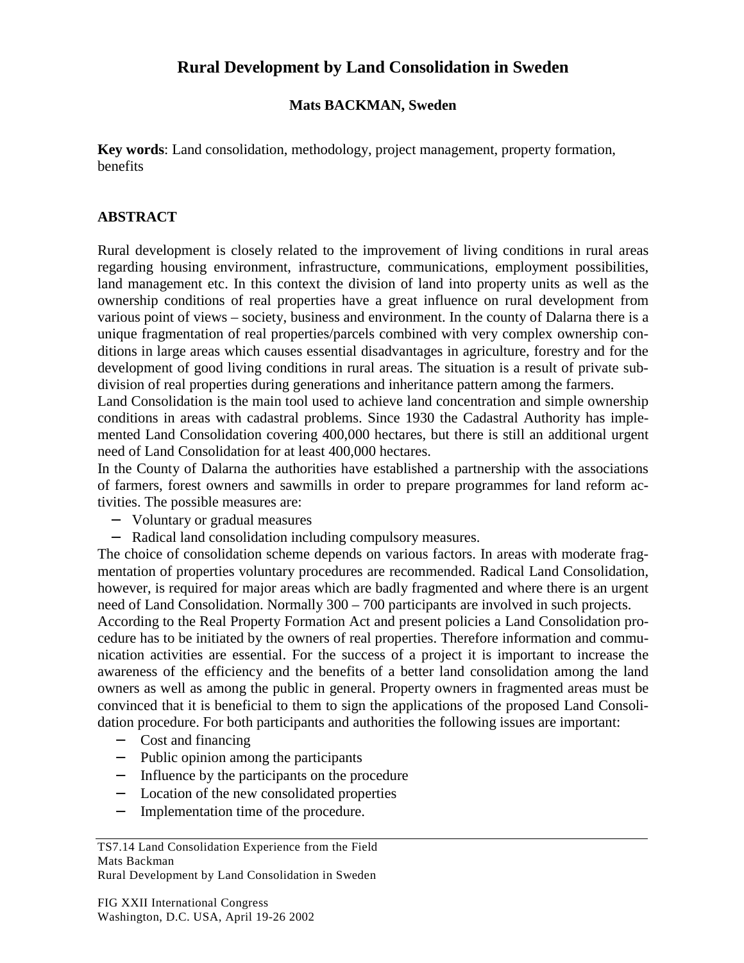## **Rural Development by Land Consolidation in Sweden**

## **Mats BACKMAN, Sweden**

**Key words**: Land consolidation, methodology, project management, property formation, benefits

## **ABSTRACT**

Rural development is closely related to the improvement of living conditions in rural areas regarding housing environment, infrastructure, communications, employment possibilities, land management etc. In this context the division of land into property units as well as the ownership conditions of real properties have a great influence on rural development from various point of views – society, business and environment. In the county of Dalarna there is a unique fragmentation of real properties/parcels combined with very complex ownership conditions in large areas which causes essential disadvantages in agriculture, forestry and for the development of good living conditions in rural areas. The situation is a result of private subdivision of real properties during generations and inheritance pattern among the farmers.

Land Consolidation is the main tool used to achieve land concentration and simple ownership conditions in areas with cadastral problems. Since 1930 the Cadastral Authority has implemented Land Consolidation covering 400,000 hectares, but there is still an additional urgent need of Land Consolidation for at least 400,000 hectares.

In the County of Dalarna the authorities have established a partnership with the associations of farmers, forest owners and sawmills in order to prepare programmes for land reform activities. The possible measures are:

- − Voluntary or gradual measures
- − Radical land consolidation including compulsory measures.

The choice of consolidation scheme depends on various factors. In areas with moderate fragmentation of properties voluntary procedures are recommended. Radical Land Consolidation, however, is required for major areas which are badly fragmented and where there is an urgent need of Land Consolidation. Normally 300 – 700 participants are involved in such projects. According to the Real Property Formation Act and present policies a Land Consolidation procedure has to be initiated by the owners of real properties. Therefore information and communication activities are essential. For the success of a project it is important to increase the awareness of the efficiency and the benefits of a better land consolidation among the land owners as well as among the public in general. Property owners in fragmented areas must be convinced that it is beneficial to them to sign the applications of the proposed Land Consolidation procedure. For both participants and authorities the following issues are important:

- − Cost and financing
- − Public opinion among the participants
- − Influence by the participants on the procedure
- Location of the new consolidated properties
- − Implementation time of the procedure.